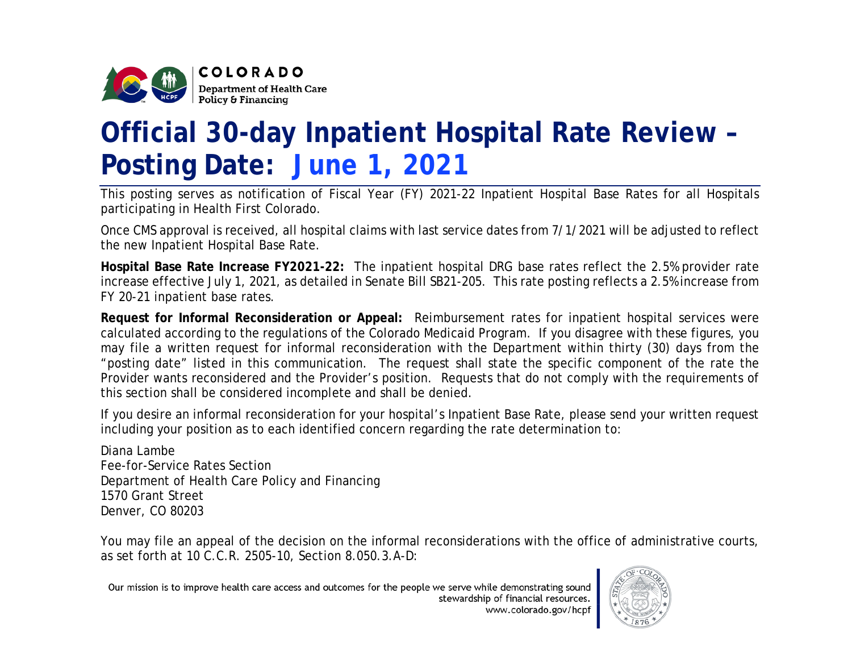

## **Official 30-day Inpatient Hospital Rate Review – Posting Date: June 1, 2021**

This posting serves as notification of Fiscal Year (FY) 2021-22 Inpatient Hospital Base Rates for all Hospitals participating in Health First Colorado.

Once CMS approval is received, all hospital claims with last service dates from 7/1/2021 will be adjusted to reflect the new Inpatient Hospital Base Rate.

**Hospital Base Rate Increase FY2021-22:** The inpatient hospital DRG base rates reflect the 2.5% provider rate increase effective July 1, 2021, as detailed in Senate Bill SB21-205. This rate posting reflects a 2.5% increase from FY 20-21 inpatient base rates.

**Request for Informal Reconsideration or Appeal:** Reimbursement rates for inpatient hospital services were calculated according to the regulations of the Colorado Medicaid Program. If you disagree with these figures, you may file a written request for informal reconsideration with the Department within thirty (30) days from the "posting date" listed in this communication. The request shall state the specific component of the rate the Provider wants reconsidered and the Provider's position. Requests that do not comply with the requirements of this section shall be considered incomplete and shall be denied.

If you desire an informal reconsideration for your hospital's Inpatient Base Rate, please send your written request including your position as to each identified concern regarding the rate determination to:

Diana Lambe Fee-for-Service Rates Section Department of Health Care Policy and Financing 1570 Grant Street Denver, CO 80203

You may file an appeal of the decision on the informal reconsiderations with the office of administrative courts, as set forth at 10 C.C.R. 2505-10, Section 8.050.3.A-D:

Our mission is to improve health care access and outcomes for the people we serve while demonstrating sound stewardship of financial resources. www.colorado.gov/hcpf

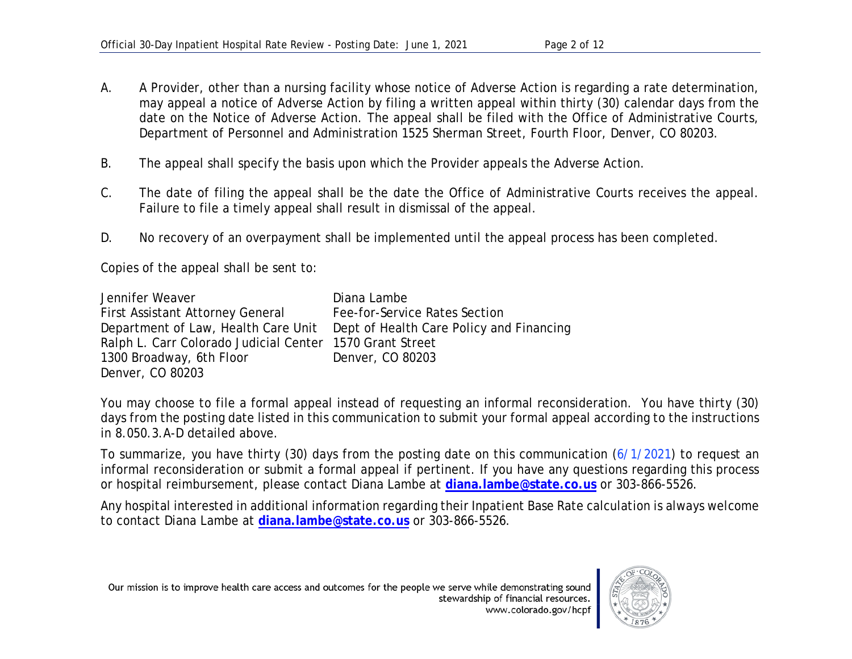- A. A Provider, other than a nursing facility whose notice of Adverse Action is regarding a rate determination, may appeal a notice of Adverse Action by filing a written appeal within thirty (30) calendar days from the date on the Notice of Adverse Action. The appeal shall be filed with the Office of Administrative Courts, Department of Personnel and Administration 1525 Sherman Street, Fourth Floor, Denver, CO 80203.
- B. The appeal shall specify the basis upon which the Provider appeals the Adverse Action.
- C. The date of filing the appeal shall be the date the Office of Administrative Courts receives the appeal. Failure to file a timely appeal shall result in dismissal of the appeal.
- D. No recovery of an overpayment shall be implemented until the appeal process has been completed.

Copies of the appeal shall be sent to:

| Jennifer Weaver                                          | Diana Lambe                                                                  |
|----------------------------------------------------------|------------------------------------------------------------------------------|
| <b>First Assistant Attorney General</b>                  | Fee-for-Service Rates Section                                                |
|                                                          | Department of Law, Health Care Unit Dept of Health Care Policy and Financing |
| Ralph L. Carr Colorado Judicial Center 1570 Grant Street |                                                                              |
| 1300 Broadway, 6th Floor                                 | Denver, CO 80203                                                             |
| Denver, CO 80203                                         |                                                                              |

You may choose to file a formal appeal instead of requesting an informal reconsideration. You have thirty (30) days from the posting date listed in this communication to submit your formal appeal according to the instructions in 8.050.3.A-D detailed above.

To summarize, you have thirty (30) days from the posting date on this communication (6/1/2021) to request an informal reconsideration or submit a formal appeal if pertinent. If you have any questions regarding this process or hospital reimbursement, please contact Diana Lambe at **[diana.lambe@state.co.us](mailto:diana.lambe@state.co.us)** or 303-866-5526.

Any hospital interested in additional information regarding their Inpatient Base Rate calculation is always welcome to contact Diana Lambe at **[diana.lambe@state.co.us](mailto:diana.lambe@state.co.us)** or 303-866-5526.

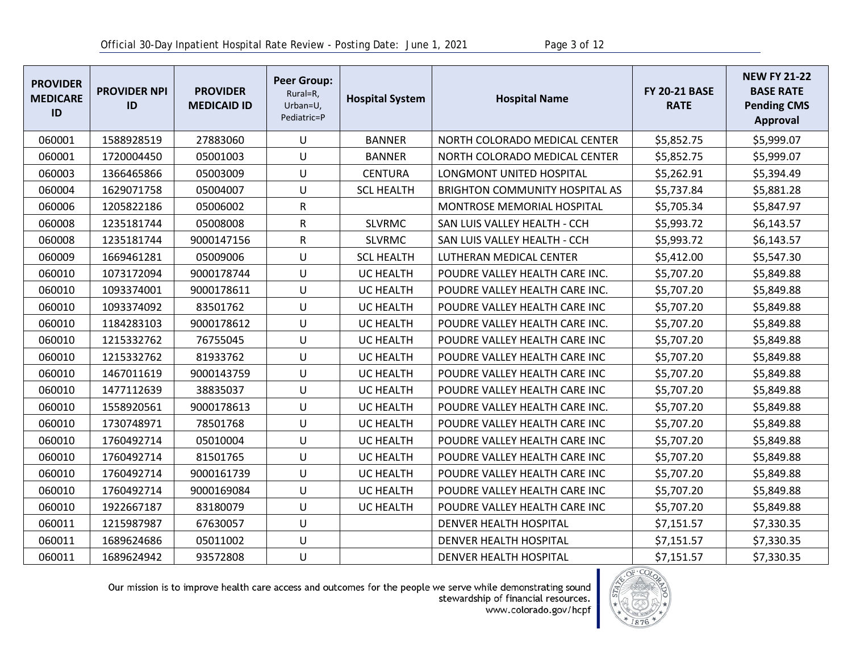| <b>PROVIDER</b><br><b>MEDICARE</b><br>ID | <b>PROVIDER NPI</b><br>ID | <b>PROVIDER</b><br><b>MEDICAID ID</b> | <b>Peer Group:</b><br>Rural=R,<br>Urban=U,<br>Pediatric=P | <b>Hospital System</b> | <b>Hospital Name</b>                  | <b>FY 20-21 BASE</b><br><b>RATE</b> | <b>NEW FY 21-22</b><br><b>BASE RATE</b><br><b>Pending CMS</b><br>Approval |
|------------------------------------------|---------------------------|---------------------------------------|-----------------------------------------------------------|------------------------|---------------------------------------|-------------------------------------|---------------------------------------------------------------------------|
| 060001                                   | 1588928519                | 27883060                              | U                                                         | <b>BANNER</b>          | NORTH COLORADO MEDICAL CENTER         | \$5,852.75                          | \$5,999.07                                                                |
| 060001                                   | 1720004450                | 05001003                              | U                                                         | <b>BANNER</b>          | NORTH COLORADO MEDICAL CENTER         | \$5,852.75                          | \$5,999.07                                                                |
| 060003                                   | 1366465866                | 05003009                              | U                                                         | <b>CENTURA</b>         | LONGMONT UNITED HOSPITAL              | \$5,262.91                          | \$5,394.49                                                                |
| 060004                                   | 1629071758                | 05004007                              | U                                                         | <b>SCL HEALTH</b>      | <b>BRIGHTON COMMUNITY HOSPITAL AS</b> | \$5,737.84                          | \$5,881.28                                                                |
| 060006                                   | 1205822186                | 05006002                              | ${\sf R}$                                                 |                        | <b>MONTROSE MEMORIAL HOSPITAL</b>     | \$5,705.34                          | \$5,847.97                                                                |
| 060008                                   | 1235181744                | 05008008                              | ${\sf R}$                                                 | <b>SLVRMC</b>          | SAN LUIS VALLEY HEALTH - CCH          | \$5,993.72                          | \$6,143.57                                                                |
| 060008                                   | 1235181744                | 9000147156                            | $\mathsf{R}$                                              | <b>SLVRMC</b>          | SAN LUIS VALLEY HEALTH - CCH          | \$5,993.72                          | \$6,143.57                                                                |
| 060009                                   | 1669461281                | 05009006                              | U                                                         | <b>SCL HEALTH</b>      | LUTHERAN MEDICAL CENTER               | \$5,412.00                          | \$5,547.30                                                                |
| 060010                                   | 1073172094                | 9000178744                            | U                                                         | <b>UC HEALTH</b>       | POUDRE VALLEY HEALTH CARE INC.        | \$5,707.20                          | \$5,849.88                                                                |
| 060010                                   | 1093374001                | 9000178611                            | U                                                         | <b>UC HEALTH</b>       | POUDRE VALLEY HEALTH CARE INC.        | \$5,707.20                          | \$5,849.88                                                                |
| 060010                                   | 1093374092                | 83501762                              | U                                                         | <b>UC HEALTH</b>       | POUDRE VALLEY HEALTH CARE INC         | \$5,707.20                          | \$5,849.88                                                                |
| 060010                                   | 1184283103                | 9000178612                            | U                                                         | UC HEALTH              | POUDRE VALLEY HEALTH CARE INC.        | \$5,707.20                          | \$5,849.88                                                                |
| 060010                                   | 1215332762                | 76755045                              | U                                                         | <b>UC HEALTH</b>       | POUDRE VALLEY HEALTH CARE INC         | \$5,707.20                          | \$5,849.88                                                                |
| 060010                                   | 1215332762                | 81933762                              | U                                                         | UC HEALTH              | POUDRE VALLEY HEALTH CARE INC         | \$5,707.20                          | \$5,849.88                                                                |
| 060010                                   | 1467011619                | 9000143759                            | U                                                         | <b>UC HEALTH</b>       | POUDRE VALLEY HEALTH CARE INC         | \$5,707.20                          | \$5,849.88                                                                |
| 060010                                   | 1477112639                | 38835037                              | U                                                         | UC HEALTH              | POUDRE VALLEY HEALTH CARE INC         | \$5,707.20                          | \$5,849.88                                                                |
| 060010                                   | 1558920561                | 9000178613                            | U                                                         | <b>UC HEALTH</b>       | POUDRE VALLEY HEALTH CARE INC.        | \$5,707.20                          | \$5,849.88                                                                |
| 060010                                   | 1730748971                | 78501768                              | U                                                         | <b>UC HEALTH</b>       | POUDRE VALLEY HEALTH CARE INC         | \$5,707.20                          | \$5,849.88                                                                |
| 060010                                   | 1760492714                | 05010004                              | U                                                         | <b>UC HEALTH</b>       | POUDRE VALLEY HEALTH CARE INC         | \$5,707.20                          | \$5,849.88                                                                |
| 060010                                   | 1760492714                | 81501765                              | U                                                         | UC HEALTH              | POUDRE VALLEY HEALTH CARE INC         | \$5,707.20                          | \$5,849.88                                                                |
| 060010                                   | 1760492714                | 9000161739                            | U                                                         | <b>UC HEALTH</b>       | POUDRE VALLEY HEALTH CARE INC         | \$5,707.20                          | \$5,849.88                                                                |
| 060010                                   | 1760492714                | 9000169084                            | U                                                         | UC HEALTH              | POUDRE VALLEY HEALTH CARE INC         | \$5,707.20                          | \$5,849.88                                                                |
| 060010                                   | 1922667187                | 83180079                              | U                                                         | <b>UC HEALTH</b>       | POUDRE VALLEY HEALTH CARE INC         | \$5,707.20                          | \$5,849.88                                                                |
| 060011                                   | 1215987987                | 67630057                              | U                                                         |                        | <b>DENVER HEALTH HOSPITAL</b>         | \$7,151.57                          | \$7,330.35                                                                |
| 060011                                   | 1689624686                | 05011002                              | U                                                         |                        | DENVER HEALTH HOSPITAL                | \$7,151.57                          | \$7,330.35                                                                |
| 060011                                   | 1689624942                | 93572808                              | U                                                         |                        | DENVER HEALTH HOSPITAL                | \$7,151.57                          | \$7,330.35                                                                |

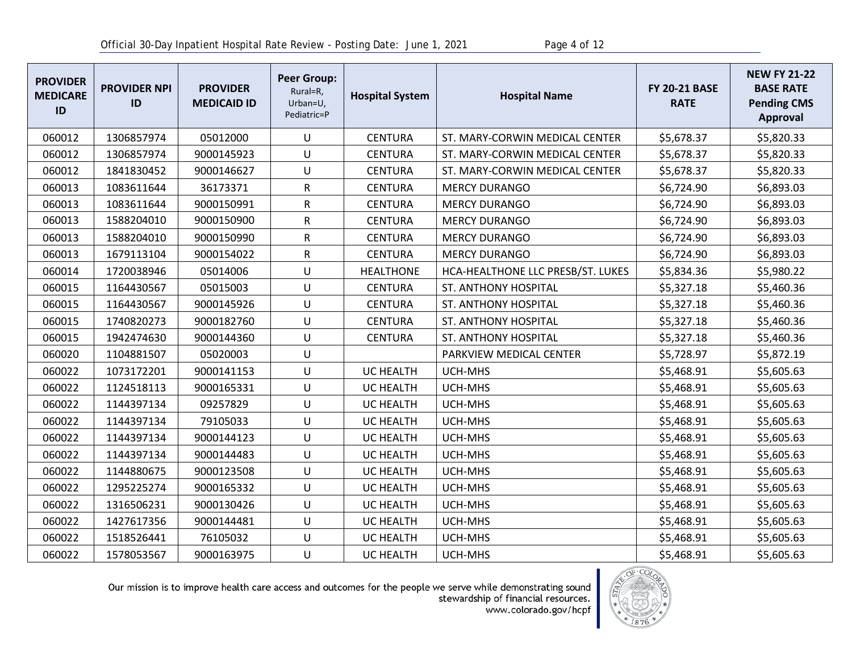| <b>PROVIDER</b><br><b>MEDICARE</b><br>ID | <b>PROVIDER NPI</b><br>ID | <b>PROVIDER</b><br><b>MEDICAID ID</b> | <b>Peer Group:</b><br>Rural=R,<br>Urban=U,<br>Pediatric=P | <b>Hospital System</b> | <b>Hospital Name</b>              | <b>FY 20-21 BASE</b><br><b>RATE</b> | <b>NEW FY 21-22</b><br><b>BASE RATE</b><br><b>Pending CMS</b><br><b>Approval</b> |
|------------------------------------------|---------------------------|---------------------------------------|-----------------------------------------------------------|------------------------|-----------------------------------|-------------------------------------|----------------------------------------------------------------------------------|
| 060012                                   | 1306857974                | 05012000                              | U                                                         | <b>CENTURA</b>         | ST. MARY-CORWIN MEDICAL CENTER    | \$5,678.37                          | \$5,820.33                                                                       |
| 060012                                   | 1306857974                | 9000145923                            | $\cup$                                                    | <b>CENTURA</b>         | ST. MARY-CORWIN MEDICAL CENTER    | \$5,678.37                          | \$5,820.33                                                                       |
| 060012                                   | 1841830452                | 9000146627                            | U                                                         | <b>CENTURA</b>         | ST. MARY-CORWIN MEDICAL CENTER    | \$5,678.37                          | \$5,820.33                                                                       |
| 060013                                   | 1083611644                | 36173371                              | R                                                         | <b>CENTURA</b>         | <b>MERCY DURANGO</b>              | \$6,724.90                          | \$6,893.03                                                                       |
| 060013                                   | 1083611644                | 9000150991                            | R                                                         | <b>CENTURA</b>         | <b>MERCY DURANGO</b>              | \$6,724.90                          | \$6,893.03                                                                       |
| 060013                                   | 1588204010                | 9000150900                            | $\mathsf{R}$                                              | <b>CENTURA</b>         | <b>MERCY DURANGO</b>              | \$6,724.90                          | \$6,893.03                                                                       |
| 060013                                   | 1588204010                | 9000150990                            | R                                                         | <b>CENTURA</b>         | <b>MERCY DURANGO</b>              | \$6,724.90                          | \$6,893.03                                                                       |
| 060013                                   | 1679113104                | 9000154022                            | $\mathsf{R}$                                              | <b>CENTURA</b>         | <b>MERCY DURANGO</b>              | \$6,724.90                          | \$6,893.03                                                                       |
| 060014                                   | 1720038946                | 05014006                              | U                                                         | <b>HEALTHONE</b>       | HCA-HEALTHONE LLC PRESB/ST. LUKES | \$5,834.36                          | \$5,980.22                                                                       |
| 060015                                   | 1164430567                | 05015003                              | $\cup$                                                    | <b>CENTURA</b>         | ST. ANTHONY HOSPITAL              | \$5,327.18                          | \$5,460.36                                                                       |
| 060015                                   | 1164430567                | 9000145926                            | U                                                         | <b>CENTURA</b>         | ST. ANTHONY HOSPITAL              | \$5,327.18                          | \$5,460.36                                                                       |
| 060015                                   | 1740820273                | 9000182760                            | $\sf U$                                                   | <b>CENTURA</b>         | ST. ANTHONY HOSPITAL              | \$5,327.18                          | \$5,460.36                                                                       |
| 060015                                   | 1942474630                | 9000144360                            | U                                                         | <b>CENTURA</b>         | ST. ANTHONY HOSPITAL              | \$5,327.18                          | \$5,460.36                                                                       |
| 060020                                   | 1104881507                | 05020003                              | U                                                         |                        | PARKVIEW MEDICAL CENTER           | \$5,728.97                          | \$5,872.19                                                                       |
| 060022                                   | 1073172201                | 9000141153                            | U                                                         | <b>UC HEALTH</b>       | UCH-MHS                           | \$5,468.91                          | \$5,605.63                                                                       |
| 060022                                   | 1124518113                | 9000165331                            | U                                                         | UC HEALTH              | UCH-MHS                           | \$5,468.91                          | \$5,605.63                                                                       |
| 060022                                   | 1144397134                | 09257829                              | U                                                         | UC HEALTH              | UCH-MHS                           | \$5,468.91                          | \$5,605.63                                                                       |
| 060022                                   | 1144397134                | 79105033                              | U                                                         | UC HEALTH              | UCH-MHS                           | \$5,468.91                          | \$5,605.63                                                                       |
| 060022                                   | 1144397134                | 9000144123                            | U                                                         | UC HEALTH              | UCH-MHS                           | \$5,468.91                          | \$5,605.63                                                                       |
| 060022                                   | 1144397134                | 9000144483                            | U                                                         | UC HEALTH              | UCH-MHS                           | \$5,468.91                          | \$5,605.63                                                                       |
| 060022                                   | 1144880675                | 9000123508                            | U                                                         | UC HEALTH              | UCH-MHS                           | \$5,468.91                          | \$5,605.63                                                                       |
| 060022                                   | 1295225274                | 9000165332                            | U                                                         | UC HEALTH              | UCH-MHS                           | \$5,468.91                          | \$5,605.63                                                                       |
| 060022                                   | 1316506231                | 9000130426                            | U                                                         | <b>UC HEALTH</b>       | UCH-MHS                           | \$5,468.91                          | \$5,605.63                                                                       |
| 060022                                   | 1427617356                | 9000144481                            | U                                                         | UC HEALTH              | UCH-MHS                           | \$5,468.91                          | \$5,605.63                                                                       |
| 060022                                   | 1518526441                | 76105032                              | U                                                         | UC HEALTH              | UCH-MHS                           | \$5,468.91                          | \$5,605.63                                                                       |
| 060022                                   | 1578053567                | 9000163975                            | U                                                         | <b>UC HEALTH</b>       | UCH-MHS                           | \$5,468.91                          | \$5,605.63                                                                       |

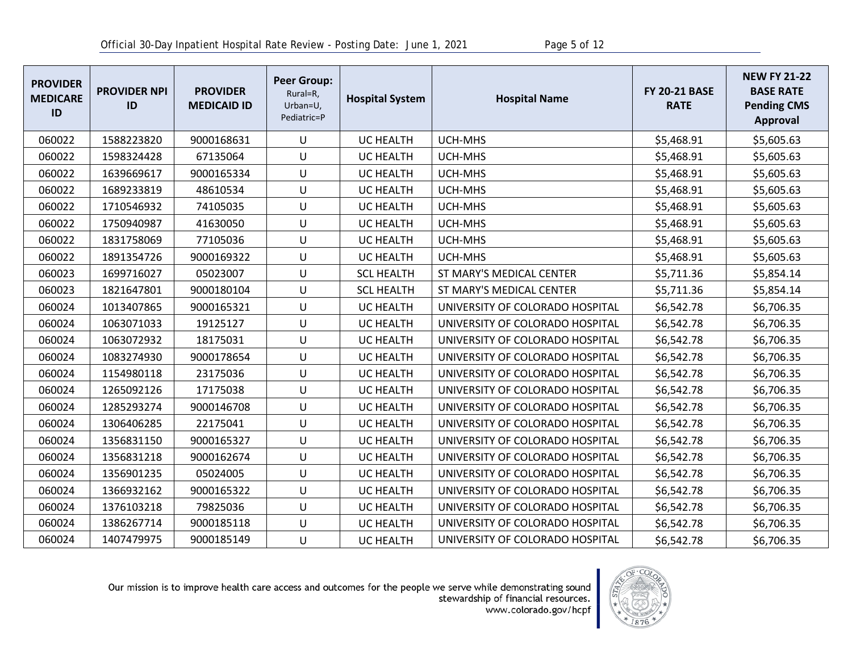| <b>PROVIDER</b><br><b>MEDICARE</b><br>ID | <b>PROVIDER NPI</b><br>ID | <b>PROVIDER</b><br><b>MEDICAID ID</b> | <b>Peer Group:</b><br>Rural=R,<br>Urban=U,<br>Pediatric=P | <b>Hospital System</b> | <b>Hospital Name</b>            | <b>FY 20-21 BASE</b><br><b>RATE</b> | <b>NEW FY 21-22</b><br><b>BASE RATE</b><br><b>Pending CMS</b><br><b>Approval</b> |
|------------------------------------------|---------------------------|---------------------------------------|-----------------------------------------------------------|------------------------|---------------------------------|-------------------------------------|----------------------------------------------------------------------------------|
| 060022                                   | 1588223820                | 9000168631                            | U                                                         | <b>UC HEALTH</b>       | UCH-MHS                         | \$5,468.91                          | \$5,605.63                                                                       |
| 060022                                   | 1598324428                | 67135064                              | U                                                         | UC HEALTH              | UCH-MHS                         | \$5,468.91                          | \$5,605.63                                                                       |
| 060022                                   | 1639669617                | 9000165334                            | U                                                         | UC HEALTH              | UCH-MHS                         | \$5,468.91                          | \$5,605.63                                                                       |
| 060022                                   | 1689233819                | 48610534                              | U                                                         | UC HEALTH              | UCH-MHS                         | \$5,468.91                          | \$5,605.63                                                                       |
| 060022                                   | 1710546932                | 74105035                              | U                                                         | <b>UC HEALTH</b>       | UCH-MHS                         | \$5,468.91                          | \$5,605.63                                                                       |
| 060022                                   | 1750940987                | 41630050                              | U                                                         | UC HEALTH              | UCH-MHS                         | \$5,468.91                          | \$5,605.63                                                                       |
| 060022                                   | 1831758069                | 77105036                              | U                                                         | UC HEALTH              | UCH-MHS                         | \$5,468.91                          | \$5,605.63                                                                       |
| 060022                                   | 1891354726                | 9000169322                            | U                                                         | UC HEALTH              | UCH-MHS                         | \$5,468.91                          | \$5,605.63                                                                       |
| 060023                                   | 1699716027                | 05023007                              | U                                                         | <b>SCL HEALTH</b>      | ST MARY'S MEDICAL CENTER        | \$5,711.36                          | \$5,854.14                                                                       |
| 060023                                   | 1821647801                | 9000180104                            | U                                                         | <b>SCL HEALTH</b>      | ST MARY'S MEDICAL CENTER        | \$5,711.36                          | \$5,854.14                                                                       |
| 060024                                   | 1013407865                | 9000165321                            | U                                                         | <b>UC HEALTH</b>       | UNIVERSITY OF COLORADO HOSPITAL | \$6,542.78                          | \$6,706.35                                                                       |
| 060024                                   | 1063071033                | 19125127                              | U                                                         | UC HEALTH              | UNIVERSITY OF COLORADO HOSPITAL | \$6,542.78                          | \$6,706.35                                                                       |
| 060024                                   | 1063072932                | 18175031                              | U                                                         | UC HEALTH              | UNIVERSITY OF COLORADO HOSPITAL | \$6,542.78                          | \$6,706.35                                                                       |
| 060024                                   | 1083274930                | 9000178654                            | U                                                         | <b>UC HEALTH</b>       | UNIVERSITY OF COLORADO HOSPITAL | \$6,542.78                          | \$6,706.35                                                                       |
| 060024                                   | 1154980118                | 23175036                              | U                                                         | UC HEALTH              | UNIVERSITY OF COLORADO HOSPITAL | \$6,542.78                          | \$6,706.35                                                                       |
| 060024                                   | 1265092126                | 17175038                              | U                                                         | UC HEALTH              | UNIVERSITY OF COLORADO HOSPITAL | \$6,542.78                          | \$6,706.35                                                                       |
| 060024                                   | 1285293274                | 9000146708                            | U                                                         | <b>UC HEALTH</b>       | UNIVERSITY OF COLORADO HOSPITAL | \$6,542.78                          | \$6,706.35                                                                       |
| 060024                                   | 1306406285                | 22175041                              | U                                                         | UC HEALTH              | UNIVERSITY OF COLORADO HOSPITAL | \$6,542.78                          | \$6,706.35                                                                       |
| 060024                                   | 1356831150                | 9000165327                            | U                                                         | <b>UC HEALTH</b>       | UNIVERSITY OF COLORADO HOSPITAL | \$6,542.78                          | \$6,706.35                                                                       |
| 060024                                   | 1356831218                | 9000162674                            | U                                                         | UC HEALTH              | UNIVERSITY OF COLORADO HOSPITAL | \$6,542.78                          | \$6,706.35                                                                       |
| 060024                                   | 1356901235                | 05024005                              | U                                                         | <b>UC HEALTH</b>       | UNIVERSITY OF COLORADO HOSPITAL | \$6,542.78                          | \$6,706.35                                                                       |
| 060024                                   | 1366932162                | 9000165322                            | U                                                         | <b>UC HEALTH</b>       | UNIVERSITY OF COLORADO HOSPITAL | \$6,542.78                          | \$6,706.35                                                                       |
| 060024                                   | 1376103218                | 79825036                              | U                                                         | UC HEALTH              | UNIVERSITY OF COLORADO HOSPITAL | \$6,542.78                          | \$6,706.35                                                                       |
| 060024                                   | 1386267714                | 9000185118                            | U                                                         | <b>UC HEALTH</b>       | UNIVERSITY OF COLORADO HOSPITAL | \$6,542.78                          | \$6,706.35                                                                       |
| 060024                                   | 1407479975                | 9000185149                            | U                                                         | UC HEALTH              | UNIVERSITY OF COLORADO HOSPITAL | \$6,542.78                          | \$6,706.35                                                                       |

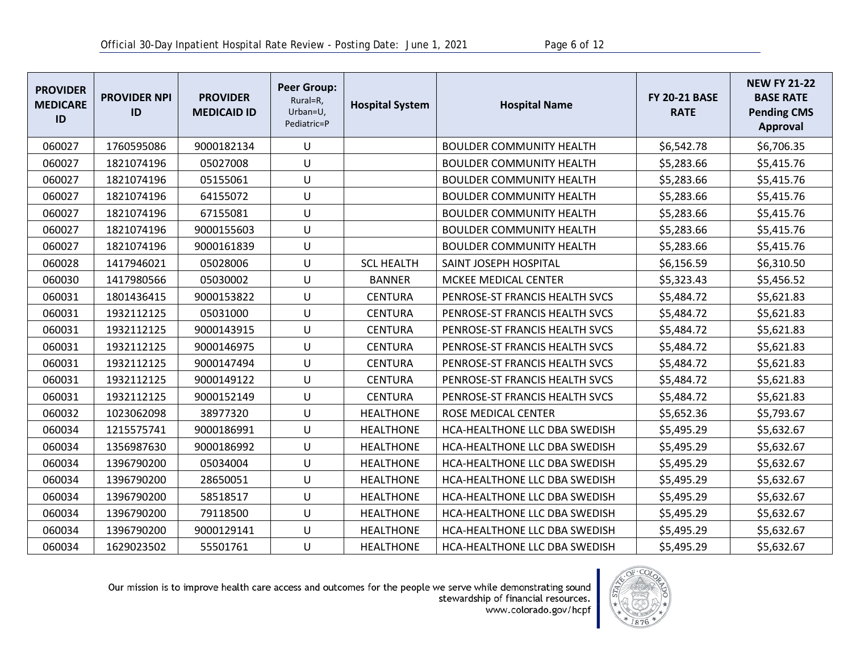| <b>PROVIDER</b><br><b>MEDICARE</b><br>ID | <b>PROVIDER NPI</b><br>ID | <b>PROVIDER</b><br><b>MEDICAID ID</b> | <b>Peer Group:</b><br>Rural=R,<br>Urban=U,<br>Pediatric=P | <b>Hospital System</b> | <b>Hospital Name</b>            | <b>FY 20-21 BASE</b><br><b>RATE</b> | <b>NEW FY 21-22</b><br><b>BASE RATE</b><br><b>Pending CMS</b><br><b>Approval</b> |
|------------------------------------------|---------------------------|---------------------------------------|-----------------------------------------------------------|------------------------|---------------------------------|-------------------------------------|----------------------------------------------------------------------------------|
| 060027                                   | 1760595086                | 9000182134                            | U                                                         |                        | <b>BOULDER COMMUNITY HEALTH</b> | \$6,542.78                          | \$6,706.35                                                                       |
| 060027                                   | 1821074196                | 05027008                              | U                                                         |                        | <b>BOULDER COMMUNITY HEALTH</b> | \$5,283.66                          | \$5,415.76                                                                       |
| 060027                                   | 1821074196                | 05155061                              | U                                                         |                        | <b>BOULDER COMMUNITY HEALTH</b> | \$5,283.66                          | \$5,415.76                                                                       |
| 060027                                   | 1821074196                | 64155072                              | U                                                         |                        | <b>BOULDER COMMUNITY HEALTH</b> | \$5,283.66                          | \$5,415.76                                                                       |
| 060027                                   | 1821074196                | 67155081                              | U                                                         |                        | <b>BOULDER COMMUNITY HEALTH</b> | \$5,283.66                          | \$5,415.76                                                                       |
| 060027                                   | 1821074196                | 9000155603                            | U                                                         |                        | <b>BOULDER COMMUNITY HEALTH</b> | \$5,283.66                          | \$5,415.76                                                                       |
| 060027                                   | 1821074196                | 9000161839                            | U                                                         |                        | <b>BOULDER COMMUNITY HEALTH</b> | \$5,283.66                          | \$5,415.76                                                                       |
| 060028                                   | 1417946021                | 05028006                              | U                                                         | <b>SCL HEALTH</b>      | SAINT JOSEPH HOSPITAL           | \$6,156.59                          | \$6,310.50                                                                       |
| 060030                                   | 1417980566                | 05030002                              | U                                                         | <b>BANNER</b>          | MCKEE MEDICAL CENTER            | \$5,323.43                          | \$5,456.52                                                                       |
| 060031                                   | 1801436415                | 9000153822                            | U                                                         | <b>CENTURA</b>         | PENROSE-ST FRANCIS HEALTH SVCS  | \$5,484.72                          | \$5,621.83                                                                       |
| 060031                                   | 1932112125                | 05031000                              | U                                                         | <b>CENTURA</b>         | PENROSE-ST FRANCIS HEALTH SVCS  | \$5,484.72                          | \$5,621.83                                                                       |
| 060031                                   | 1932112125                | 9000143915                            | U                                                         | <b>CENTURA</b>         | PENROSE-ST FRANCIS HEALTH SVCS  | \$5,484.72                          | \$5,621.83                                                                       |
| 060031                                   | 1932112125                | 9000146975                            | U                                                         | <b>CENTURA</b>         | PENROSE-ST FRANCIS HEALTH SVCS  | \$5,484.72                          | \$5,621.83                                                                       |
| 060031                                   | 1932112125                | 9000147494                            | U                                                         | <b>CENTURA</b>         | PENROSE-ST FRANCIS HEALTH SVCS  | \$5,484.72                          | \$5,621.83                                                                       |
| 060031                                   | 1932112125                | 9000149122                            | U                                                         | <b>CENTURA</b>         | PENROSE-ST FRANCIS HEALTH SVCS  | \$5,484.72                          | \$5,621.83                                                                       |
| 060031                                   | 1932112125                | 9000152149                            | U                                                         | <b>CENTURA</b>         | PENROSE-ST FRANCIS HEALTH SVCS  | \$5,484.72                          | \$5,621.83                                                                       |
| 060032                                   | 1023062098                | 38977320                              | U                                                         | <b>HEALTHONE</b>       | ROSE MEDICAL CENTER             | \$5,652.36                          | \$5,793.67                                                                       |
| 060034                                   | 1215575741                | 9000186991                            | U                                                         | <b>HEALTHONE</b>       | HCA-HEALTHONE LLC DBA SWEDISH   | \$5,495.29                          | \$5,632.67                                                                       |
| 060034                                   | 1356987630                | 9000186992                            | U                                                         | <b>HEALTHONE</b>       | HCA-HEALTHONE LLC DBA SWEDISH   | \$5,495.29                          | \$5,632.67                                                                       |
| 060034                                   | 1396790200                | 05034004                              | U                                                         | <b>HEALTHONE</b>       | HCA-HEALTHONE LLC DBA SWEDISH   | \$5,495.29                          | \$5,632.67                                                                       |
| 060034                                   | 1396790200                | 28650051                              | U                                                         | <b>HEALTHONE</b>       | HCA-HEALTHONE LLC DBA SWEDISH   | \$5,495.29                          | \$5,632.67                                                                       |
| 060034                                   | 1396790200                | 58518517                              | U                                                         | <b>HEALTHONE</b>       | HCA-HEALTHONE LLC DBA SWEDISH   | \$5,495.29                          | \$5,632.67                                                                       |
| 060034                                   | 1396790200                | 79118500                              | U                                                         | <b>HEALTHONE</b>       | HCA-HEALTHONE LLC DBA SWEDISH   | \$5,495.29                          | \$5,632.67                                                                       |
| 060034                                   | 1396790200                | 9000129141                            | U                                                         | <b>HEALTHONE</b>       | HCA-HEALTHONE LLC DBA SWEDISH   | \$5,495.29                          | \$5,632.67                                                                       |
| 060034                                   | 1629023502                | 55501761                              | U                                                         | <b>HEALTHONE</b>       | HCA-HEALTHONE LLC DBA SWEDISH   | \$5,495.29                          | \$5,632.67                                                                       |

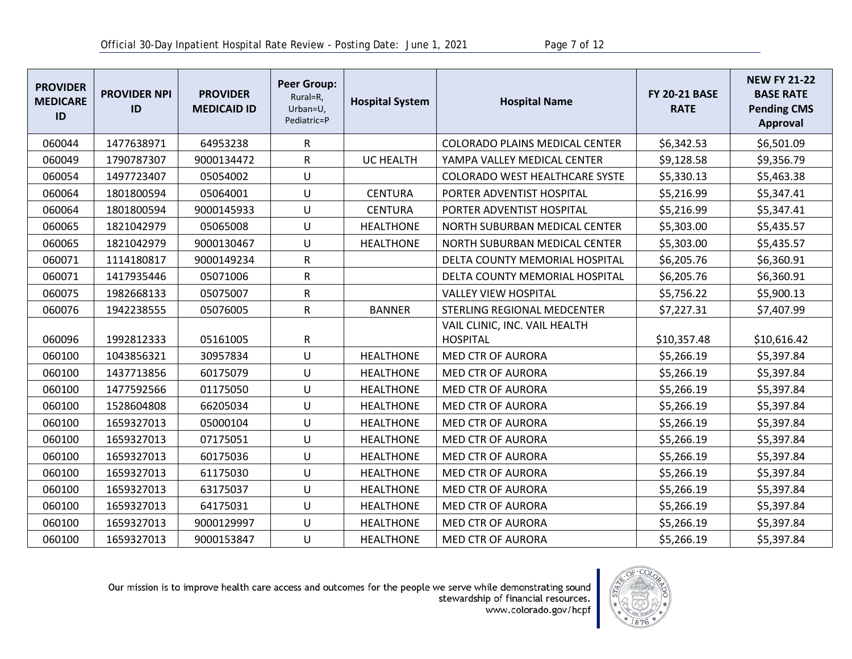| <b>PROVIDER</b><br><b>MEDICARE</b><br>ID | <b>PROVIDER NPI</b><br>ID | <b>PROVIDER</b><br><b>MEDICAID ID</b> | <b>Peer Group:</b><br>Rural=R,<br>Urban=U,<br>Pediatric=P | <b>Hospital System</b> | <b>Hospital Name</b>                             | <b>FY 20-21 BASE</b><br><b>RATE</b> | <b>NEW FY 21-22</b><br><b>BASE RATE</b><br><b>Pending CMS</b><br><b>Approval</b> |
|------------------------------------------|---------------------------|---------------------------------------|-----------------------------------------------------------|------------------------|--------------------------------------------------|-------------------------------------|----------------------------------------------------------------------------------|
| 060044                                   | 1477638971                | 64953238                              | R                                                         |                        | <b>COLORADO PLAINS MEDICAL CENTER</b>            | \$6,342.53                          | \$6,501.09                                                                       |
| 060049                                   | 1790787307                | 9000134472                            | R                                                         | <b>UC HEALTH</b>       | YAMPA VALLEY MEDICAL CENTER                      | \$9,128.58                          | \$9,356.79                                                                       |
| 060054                                   | 1497723407                | 05054002                              | U                                                         |                        | <b>COLORADO WEST HEALTHCARE SYSTE</b>            | \$5,330.13                          | \$5,463.38                                                                       |
| 060064                                   | 1801800594                | 05064001                              | U                                                         | <b>CENTURA</b>         | PORTER ADVENTIST HOSPITAL                        | \$5,216.99                          | \$5,347.41                                                                       |
| 060064                                   | 1801800594                | 9000145933                            | U                                                         | <b>CENTURA</b>         | PORTER ADVENTIST HOSPITAL                        | \$5,216.99                          | \$5,347.41                                                                       |
| 060065                                   | 1821042979                | 05065008                              | U                                                         | <b>HEALTHONE</b>       | NORTH SUBURBAN MEDICAL CENTER                    | \$5,303.00                          | \$5,435.57                                                                       |
| 060065                                   | 1821042979                | 9000130467                            | U                                                         | <b>HEALTHONE</b>       | NORTH SUBURBAN MEDICAL CENTER                    | \$5,303.00                          | \$5,435.57                                                                       |
| 060071                                   | 1114180817                | 9000149234                            | R                                                         |                        | DELTA COUNTY MEMORIAL HOSPITAL                   | \$6,205.76                          | \$6,360.91                                                                       |
| 060071                                   | 1417935446                | 05071006                              | $\mathsf R$                                               |                        | DELTA COUNTY MEMORIAL HOSPITAL                   | \$6,205.76                          | \$6,360.91                                                                       |
| 060075                                   | 1982668133                | 05075007                              | R                                                         |                        | <b>VALLEY VIEW HOSPITAL</b>                      | \$5,756.22                          | \$5,900.13                                                                       |
| 060076                                   | 1942238555                | 05076005                              | R                                                         | <b>BANNER</b>          | STERLING REGIONAL MEDCENTER                      | \$7,227.31                          | \$7,407.99                                                                       |
| 060096                                   | 1992812333                | 05161005                              | R                                                         |                        | VAIL CLINIC, INC. VAIL HEALTH<br><b>HOSPITAL</b> | \$10,357.48                         | \$10,616.42                                                                      |
| 060100                                   | 1043856321                | 30957834                              | U                                                         | <b>HEALTHONE</b>       | <b>MED CTR OF AURORA</b>                         | \$5,266.19                          | \$5,397.84                                                                       |
| 060100                                   | 1437713856                | 60175079                              | U                                                         | <b>HEALTHONE</b>       | <b>MED CTR OF AURORA</b>                         | \$5,266.19                          | \$5,397.84                                                                       |
| 060100                                   | 1477592566                | 01175050                              | U                                                         | <b>HEALTHONE</b>       | <b>MED CTR OF AURORA</b>                         | \$5,266.19                          | \$5,397.84                                                                       |
| 060100                                   | 1528604808                | 66205034                              | U                                                         | <b>HEALTHONE</b>       | MED CTR OF AURORA                                | \$5,266.19                          | \$5,397.84                                                                       |
| 060100                                   | 1659327013                | 05000104                              | U                                                         | <b>HEALTHONE</b>       | MED CTR OF AURORA                                | \$5,266.19                          | \$5,397.84                                                                       |
| 060100                                   | 1659327013                | 07175051                              | U                                                         | <b>HEALTHONE</b>       | <b>MED CTR OF AURORA</b>                         | \$5,266.19                          | \$5,397.84                                                                       |
| 060100                                   | 1659327013                | 60175036                              | U                                                         | <b>HEALTHONE</b>       | MED CTR OF AURORA                                | \$5,266.19                          | \$5,397.84                                                                       |
| 060100                                   | 1659327013                | 61175030                              | U                                                         | <b>HEALTHONE</b>       | MED CTR OF AURORA                                | \$5,266.19                          | \$5,397.84                                                                       |
| 060100                                   | 1659327013                | 63175037                              | U                                                         | <b>HEALTHONE</b>       | MED CTR OF AURORA                                | \$5,266.19                          | \$5,397.84                                                                       |
| 060100                                   | 1659327013                | 64175031                              | U                                                         | <b>HEALTHONE</b>       | <b>MED CTR OF AURORA</b>                         | \$5,266.19                          | \$5,397.84                                                                       |
| 060100                                   | 1659327013                | 9000129997                            | U                                                         | <b>HEALTHONE</b>       | <b>MED CTR OF AURORA</b>                         | \$5,266.19                          | \$5,397.84                                                                       |
| 060100                                   | 1659327013                | 9000153847                            | U                                                         | <b>HEALTHONE</b>       | <b>MED CTR OF AURORA</b>                         | \$5,266.19                          | \$5,397.84                                                                       |

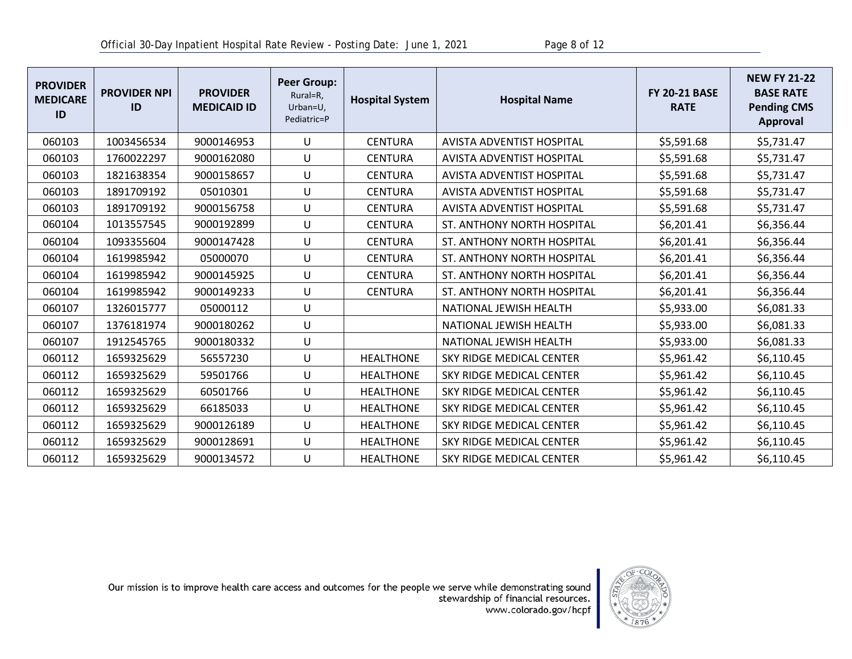| <b>PROVIDER</b><br><b>MEDICARE</b><br>ID | <b>PROVIDER NPI</b><br>ID | <b>PROVIDER</b><br><b>MEDICAID ID</b> | <b>Peer Group:</b><br>Rural=R,<br>Urban=U,<br>Pediatric=P | <b>Hospital System</b> | <b>Hospital Name</b>              | <b>FY 20-21 BASE</b><br><b>RATE</b> | <b>NEW FY 21-22</b><br><b>BASE RATE</b><br><b>Pending CMS</b><br><b>Approval</b> |
|------------------------------------------|---------------------------|---------------------------------------|-----------------------------------------------------------|------------------------|-----------------------------------|-------------------------------------|----------------------------------------------------------------------------------|
| 060103                                   | 1003456534                | 9000146953                            | U                                                         | <b>CENTURA</b>         | <b>AVISTA ADVENTIST HOSPITAL</b>  | \$5,591.68                          | \$5,731.47                                                                       |
| 060103                                   | 1760022297                | 9000162080                            | U                                                         | <b>CENTURA</b>         | <b>AVISTA ADVENTIST HOSPITAL</b>  | \$5,591.68                          | \$5,731.47                                                                       |
| 060103                                   | 1821638354                | 9000158657                            | U                                                         | <b>CENTURA</b>         | <b>AVISTA ADVENTIST HOSPITAL</b>  | \$5,591.68                          | \$5,731.47                                                                       |
| 060103                                   | 1891709192                | 05010301                              | U                                                         | <b>CENTURA</b>         | <b>AVISTA ADVENTIST HOSPITAL</b>  | \$5,591.68                          | \$5,731.47                                                                       |
| 060103                                   | 1891709192                | 9000156758                            | U                                                         | <b>CENTURA</b>         | <b>AVISTA ADVENTIST HOSPITAL</b>  | \$5,591.68                          | \$5,731.47                                                                       |
| 060104                                   | 1013557545                | 9000192899                            | U                                                         | <b>CENTURA</b>         | ST. ANTHONY NORTH HOSPITAL        | \$6,201.41                          | \$6,356.44                                                                       |
| 060104                                   | 1093355604                | 9000147428                            | U                                                         | <b>CENTURA</b>         | <b>ST. ANTHONY NORTH HOSPITAL</b> | \$6,201.41                          | \$6,356.44                                                                       |
| 060104                                   | 1619985942                | 05000070                              | U                                                         | <b>CENTURA</b>         | ST. ANTHONY NORTH HOSPITAL        | \$6,201.41                          | \$6,356.44                                                                       |
| 060104                                   | 1619985942                | 9000145925                            | U                                                         | <b>CENTURA</b>         | ST. ANTHONY NORTH HOSPITAL        | \$6,201.41                          | \$6,356.44                                                                       |
| 060104                                   | 1619985942                | 9000149233                            | U                                                         | <b>CENTURA</b>         | ST. ANTHONY NORTH HOSPITAL        | \$6,201.41                          | \$6,356.44                                                                       |
| 060107                                   | 1326015777                | 05000112                              | U                                                         |                        | NATIONAL JEWISH HEALTH            | \$5,933.00                          | \$6,081.33                                                                       |
| 060107                                   | 1376181974                | 9000180262                            | U                                                         |                        | NATIONAL JEWISH HEALTH            | \$5,933.00                          | \$6,081.33                                                                       |
| 060107                                   | 1912545765                | 9000180332                            | U                                                         |                        | NATIONAL JEWISH HEALTH            | \$5,933.00                          | \$6,081.33                                                                       |
| 060112                                   | 1659325629                | 56557230                              | U                                                         | <b>HEALTHONE</b>       | SKY RIDGE MEDICAL CENTER          | \$5,961.42                          | \$6,110.45                                                                       |
| 060112                                   | 1659325629                | 59501766                              | U                                                         | <b>HEALTHONE</b>       | SKY RIDGE MEDICAL CENTER          | \$5,961.42                          | \$6,110.45                                                                       |
| 060112                                   | 1659325629                | 60501766                              | U                                                         | <b>HEALTHONE</b>       | SKY RIDGE MEDICAL CENTER          | \$5,961.42                          | \$6,110.45                                                                       |
| 060112                                   | 1659325629                | 66185033                              | U                                                         | <b>HEALTHONE</b>       | SKY RIDGE MEDICAL CENTER          | \$5,961.42                          | \$6,110.45                                                                       |
| 060112                                   | 1659325629                | 9000126189                            | U                                                         | <b>HEALTHONE</b>       | SKY RIDGE MEDICAL CENTER          | \$5,961.42                          | \$6,110.45                                                                       |
| 060112                                   | 1659325629                | 9000128691                            | U                                                         | <b>HEALTHONE</b>       | SKY RIDGE MEDICAL CENTER          | \$5,961.42                          | \$6,110.45                                                                       |
| 060112                                   | 1659325629                | 9000134572                            | U                                                         | <b>HEALTHONE</b>       | SKY RIDGE MEDICAL CENTER          | \$5,961.42                          | \$6,110.45                                                                       |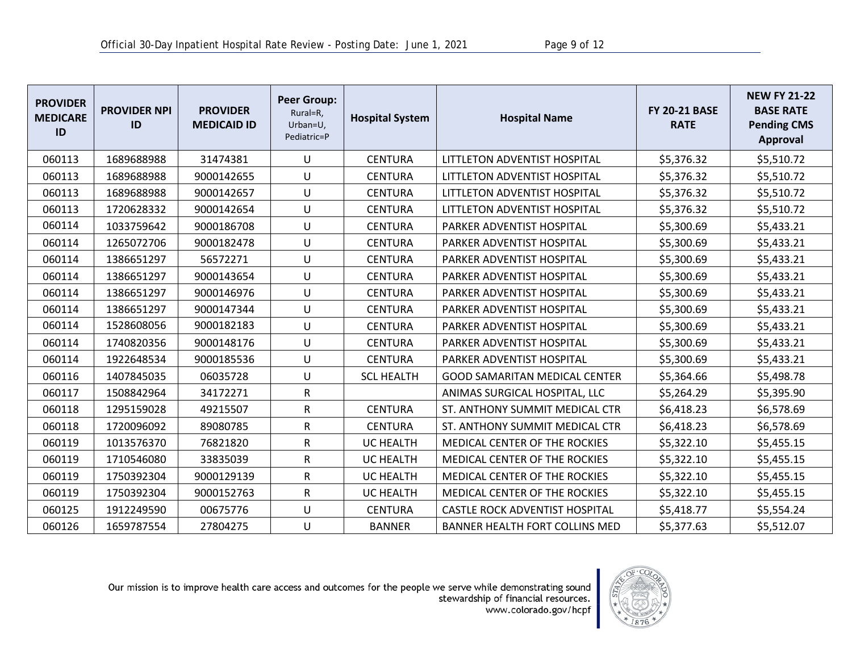| <b>PROVIDER</b><br><b>MEDICARE</b><br>ID | <b>PROVIDER NPI</b><br>ID | <b>PROVIDER</b><br><b>MEDICAID ID</b> | <b>Peer Group:</b><br>Rural=R,<br>Urban=U,<br>Pediatric=P | <b>Hospital System</b> | <b>Hospital Name</b>                 | <b>FY 20-21 BASE</b><br><b>RATE</b> | <b>NEW FY 21-22</b><br><b>BASE RATE</b><br><b>Pending CMS</b><br><b>Approval</b> |
|------------------------------------------|---------------------------|---------------------------------------|-----------------------------------------------------------|------------------------|--------------------------------------|-------------------------------------|----------------------------------------------------------------------------------|
| 060113                                   | 1689688988                | 31474381                              | U                                                         | <b>CENTURA</b>         | LITTLETON ADVENTIST HOSPITAL         | \$5,376.32                          | \$5,510.72                                                                       |
| 060113                                   | 1689688988                | 9000142655                            | U                                                         | <b>CENTURA</b>         | LITTLETON ADVENTIST HOSPITAL         | \$5,376.32                          | \$5,510.72                                                                       |
| 060113                                   | 1689688988                | 9000142657                            | U                                                         | <b>CENTURA</b>         | LITTLETON ADVENTIST HOSPITAL         | \$5,376.32                          | \$5,510.72                                                                       |
| 060113                                   | 1720628332                | 9000142654                            | U                                                         | <b>CENTURA</b>         | LITTLETON ADVENTIST HOSPITAL         | \$5,376.32                          | \$5,510.72                                                                       |
| 060114                                   | 1033759642                | 9000186708                            | U                                                         | <b>CENTURA</b>         | PARKER ADVENTIST HOSPITAL            | \$5,300.69                          | \$5,433.21                                                                       |
| 060114                                   | 1265072706                | 9000182478                            | U                                                         | <b>CENTURA</b>         | PARKER ADVENTIST HOSPITAL            | \$5,300.69                          | \$5,433.21                                                                       |
| 060114                                   | 1386651297                | 56572271                              | U                                                         | <b>CENTURA</b>         | PARKER ADVENTIST HOSPITAL            | \$5,300.69                          | \$5,433.21                                                                       |
| 060114                                   | 1386651297                | 9000143654                            | U                                                         | <b>CENTURA</b>         | PARKER ADVENTIST HOSPITAL            | \$5,300.69                          | \$5,433.21                                                                       |
| 060114                                   | 1386651297                | 9000146976                            | U                                                         | <b>CENTURA</b>         | PARKER ADVENTIST HOSPITAL            | \$5,300.69                          | \$5,433.21                                                                       |
| 060114                                   | 1386651297                | 9000147344                            | U                                                         | <b>CENTURA</b>         | PARKER ADVENTIST HOSPITAL            | \$5,300.69                          | \$5,433.21                                                                       |
| 060114                                   | 1528608056                | 9000182183                            | U                                                         | <b>CENTURA</b>         | PARKER ADVENTIST HOSPITAL            | \$5,300.69                          | \$5,433.21                                                                       |
| 060114                                   | 1740820356                | 9000148176                            | U                                                         | <b>CENTURA</b>         | PARKER ADVENTIST HOSPITAL            | \$5,300.69                          | \$5,433.21                                                                       |
| 060114                                   | 1922648534                | 9000185536                            | U                                                         | <b>CENTURA</b>         | PARKER ADVENTIST HOSPITAL            | \$5,300.69                          | \$5,433.21                                                                       |
| 060116                                   | 1407845035                | 06035728                              | U                                                         | <b>SCL HEALTH</b>      | <b>GOOD SAMARITAN MEDICAL CENTER</b> | \$5,364.66                          | \$5,498.78                                                                       |
| 060117                                   | 1508842964                | 34172271                              | R                                                         |                        | ANIMAS SURGICAL HOSPITAL, LLC        | \$5,264.29                          | \$5,395.90                                                                       |
| 060118                                   | 1295159028                | 49215507                              | $\mathsf R$                                               | <b>CENTURA</b>         | ST. ANTHONY SUMMIT MEDICAL CTR       | \$6,418.23                          | \$6,578.69                                                                       |
| 060118                                   | 1720096092                | 89080785                              | $\mathsf R$                                               | <b>CENTURA</b>         | ST. ANTHONY SUMMIT MEDICAL CTR       | \$6,418.23                          | \$6,578.69                                                                       |
| 060119                                   | 1013576370                | 76821820                              | $\mathsf R$                                               | <b>UC HEALTH</b>       | MEDICAL CENTER OF THE ROCKIES        | \$5,322.10                          | \$5,455.15                                                                       |
| 060119                                   | 1710546080                | 33835039                              | $\mathsf R$                                               | <b>UC HEALTH</b>       | MEDICAL CENTER OF THE ROCKIES        | \$5,322.10                          | \$5,455.15                                                                       |
| 060119                                   | 1750392304                | 9000129139                            | $\mathsf R$                                               | <b>UC HEALTH</b>       | MEDICAL CENTER OF THE ROCKIES        | \$5,322.10                          | \$5,455.15                                                                       |
| 060119                                   | 1750392304                | 9000152763                            | $\mathsf R$                                               | <b>UC HEALTH</b>       | MEDICAL CENTER OF THE ROCKIES        | \$5,322.10                          | \$5,455.15                                                                       |
| 060125                                   | 1912249590                | 00675776                              | U                                                         | <b>CENTURA</b>         | CASTLE ROCK ADVENTIST HOSPITAL       | \$5,418.77                          | \$5,554.24                                                                       |
| 060126                                   | 1659787554                | 27804275                              | U                                                         | <b>BANNER</b>          | BANNER HEALTH FORT COLLINS MED       | \$5,377.63                          | \$5,512.07                                                                       |

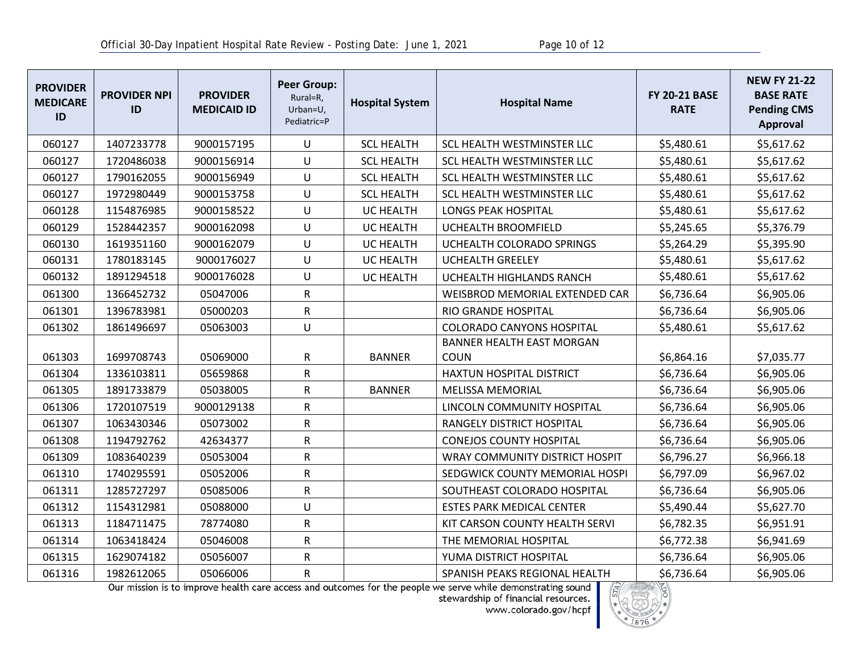| <b>PROVIDER</b><br><b>MEDICARE</b><br>ID | <b>PROVIDER NPI</b><br>ID | <b>PROVIDER</b><br><b>MEDICAID ID</b> | <b>Peer Group:</b><br>Rural=R,<br>Urban=U,<br>Pediatric=P | <b>Hospital System</b> | <b>Hospital Name</b>             | <b>FY 20-21 BASE</b><br><b>RATE</b> | <b>NEW FY 21-22</b><br><b>BASE RATE</b><br><b>Pending CMS</b><br><b>Approval</b> |
|------------------------------------------|---------------------------|---------------------------------------|-----------------------------------------------------------|------------------------|----------------------------------|-------------------------------------|----------------------------------------------------------------------------------|
| 060127                                   | 1407233778                | 9000157195                            | U                                                         | <b>SCL HEALTH</b>      | SCL HEALTH WESTMINSTER LLC       | \$5,480.61                          | \$5,617.62                                                                       |
| 060127                                   | 1720486038                | 9000156914                            | U                                                         | <b>SCL HEALTH</b>      | SCL HEALTH WESTMINSTER LLC       | \$5,480.61                          | \$5,617.62                                                                       |
| 060127                                   | 1790162055                | 9000156949                            | U                                                         | <b>SCL HEALTH</b>      | SCL HEALTH WESTMINSTER LLC       | \$5,480.61                          | \$5,617.62                                                                       |
| 060127                                   | 1972980449                | 9000153758                            | U                                                         | <b>SCL HEALTH</b>      | SCL HEALTH WESTMINSTER LLC       | \$5,480.61                          | \$5,617.62                                                                       |
| 060128                                   | 1154876985                | 9000158522                            | U                                                         | UC HEALTH              | <b>LONGS PEAK HOSPITAL</b>       | \$5,480.61                          | \$5,617.62                                                                       |
| 060129                                   | 1528442357                | 9000162098                            | U                                                         | UC HEALTH              | UCHEALTH BROOMFIELD              | \$5,245.65                          | \$5,376.79                                                                       |
| 060130                                   | 1619351160                | 9000162079                            | U                                                         | <b>UC HEALTH</b>       | UCHEALTH COLORADO SPRINGS        | \$5,264.29                          | \$5,395.90                                                                       |
| 060131                                   | 1780183145                | 9000176027                            | U                                                         | UC HEALTH              | <b>UCHEALTH GREELEY</b>          | \$5,480.61                          | \$5,617.62                                                                       |
| 060132                                   | 1891294518                | 9000176028                            | U                                                         | <b>UC HEALTH</b>       | UCHEALTH HIGHLANDS RANCH         | \$5,480.61                          | \$5,617.62                                                                       |
| 061300                                   | 1366452732                | 05047006                              | $\mathsf{R}$                                              |                        | WEISBROD MEMORIAL EXTENDED CAR   | \$6,736.64                          | \$6,905.06                                                                       |
| 061301                                   | 1396783981                | 05000203                              | R                                                         |                        | RIO GRANDE HOSPITAL              | \$6,736.64                          | \$6,905.06                                                                       |
| 061302                                   | 1861496697                | 05063003                              | U                                                         |                        | <b>COLORADO CANYONS HOSPITAL</b> | \$5,480.61                          | \$5,617.62                                                                       |
|                                          |                           |                                       |                                                           |                        | BANNER HEALTH EAST MORGAN        |                                     |                                                                                  |
| 061303                                   | 1699708743                | 05069000                              | R                                                         | <b>BANNER</b>          | <b>COUN</b>                      | \$6,864.16                          | \$7,035.77                                                                       |
| 061304                                   | 1336103811                | 05659868                              | R                                                         |                        | <b>HAXTUN HOSPITAL DISTRICT</b>  | \$6,736.64                          | \$6,905.06                                                                       |
| 061305                                   | 1891733879                | 05038005                              | $\mathsf R$                                               | <b>BANNER</b>          | <b>MELISSA MEMORIAL</b>          | \$6,736.64                          | \$6,905.06                                                                       |
| 061306                                   | 1720107519                | 9000129138                            | R                                                         |                        | LINCOLN COMMUNITY HOSPITAL       | \$6,736.64                          | \$6,905.06                                                                       |
| 061307                                   | 1063430346                | 05073002                              | ${\sf R}$                                                 |                        | RANGELY DISTRICT HOSPITAL        | \$6,736.64                          | \$6,905.06                                                                       |
| 061308                                   | 1194792762                | 42634377                              | R                                                         |                        | <b>CONEJOS COUNTY HOSPITAL</b>   | \$6,736.64                          | \$6,905.06                                                                       |
| 061309                                   | 1083640239                | 05053004                              | R                                                         |                        | WRAY COMMUNITY DISTRICT HOSPIT   | \$6,796.27                          | \$6,966.18                                                                       |
| 061310                                   | 1740295591                | 05052006                              | R                                                         |                        | SEDGWICK COUNTY MEMORIAL HOSPI   | \$6,797.09                          | \$6,967.02                                                                       |
| 061311                                   | 1285727297                | 05085006                              | $\mathsf R$                                               |                        | SOUTHEAST COLORADO HOSPITAL      | \$6,736.64                          | \$6,905.06                                                                       |
| 061312                                   | 1154312981                | 05088000                              | U                                                         |                        | <b>ESTES PARK MEDICAL CENTER</b> | \$5,490.44                          | \$5,627.70                                                                       |
| 061313                                   | 1184711475                | 78774080                              | R                                                         |                        | KIT CARSON COUNTY HEALTH SERVI   | \$6,782.35                          | \$6,951.91                                                                       |
| 061314                                   | 1063418424                | 05046008                              | R                                                         |                        | THE MEMORIAL HOSPITAL            | \$6,772.38                          | \$6,941.69                                                                       |
| 061315                                   | 1629074182                | 05056007                              | R                                                         |                        | YUMA DISTRICT HOSPITAL           | \$6,736.64                          | \$6,905.06                                                                       |
| 061316                                   | 1982612065                | 05066006                              | R                                                         |                        | SPANISH PEAKS REGIONAL HEALTH    | \$6,736.64                          | \$6,905.06                                                                       |

Our mission is to improve health care access and outcomes for the people we serve while demonstrating sound<br>stewardship of financial resources.<br>www.colorado.gov/hcpf

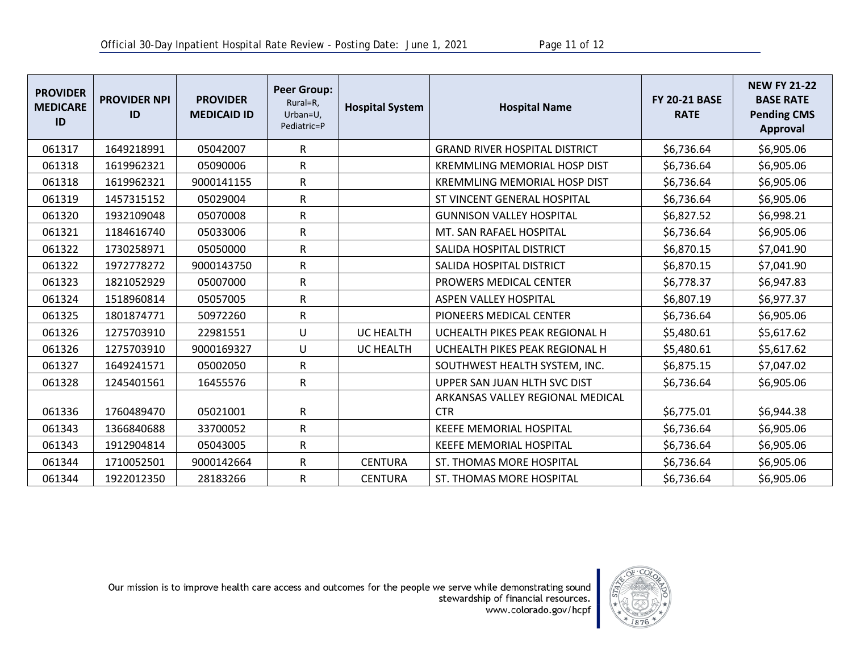| <b>PROVIDER</b><br><b>MEDICARE</b><br>ID | <b>PROVIDER NPI</b><br>ID | <b>PROVIDER</b><br><b>MEDICAID ID</b> | <b>Peer Group:</b><br>Rural=R,<br>Urban=U,<br>Pediatric=P | <b>Hospital System</b> | <b>Hospital Name</b>                 | <b>FY 20-21 BASE</b><br><b>RATE</b> | <b>NEW FY 21-22</b><br><b>BASE RATE</b><br><b>Pending CMS</b><br><b>Approval</b> |
|------------------------------------------|---------------------------|---------------------------------------|-----------------------------------------------------------|------------------------|--------------------------------------|-------------------------------------|----------------------------------------------------------------------------------|
| 061317                                   | 1649218991                | 05042007                              | R                                                         |                        | <b>GRAND RIVER HOSPITAL DISTRICT</b> | \$6,736.64                          | \$6,905.06                                                                       |
| 061318                                   | 1619962321                | 05090006                              | ${\sf R}$                                                 |                        | <b>KREMMLING MEMORIAL HOSP DIST</b>  | \$6,736.64                          | \$6,905.06                                                                       |
| 061318                                   | 1619962321                | 9000141155                            | ${\sf R}$                                                 |                        | <b>KREMMLING MEMORIAL HOSP DIST</b>  | \$6,736.64                          | \$6,905.06                                                                       |
| 061319                                   | 1457315152                | 05029004                              | ${\sf R}$                                                 |                        | ST VINCENT GENERAL HOSPITAL          | \$6,736.64                          | \$6,905.06                                                                       |
| 061320                                   | 1932109048                | 05070008                              | ${\sf R}$                                                 |                        | <b>GUNNISON VALLEY HOSPITAL</b>      | \$6,827.52                          | \$6,998.21                                                                       |
| 061321                                   | 1184616740                | 05033006                              | ${\sf R}$                                                 |                        | MT. SAN RAFAEL HOSPITAL              | \$6,736.64                          | \$6,905.06                                                                       |
| 061322                                   | 1730258971                | 05050000                              | ${\sf R}$                                                 |                        | SALIDA HOSPITAL DISTRICT             | \$6,870.15                          | \$7,041.90                                                                       |
| 061322                                   | 1972778272                | 9000143750                            | ${\sf R}$                                                 |                        | SALIDA HOSPITAL DISTRICT             | \$6,870.15                          | \$7,041.90                                                                       |
| 061323                                   | 1821052929                | 05007000                              | ${\sf R}$                                                 |                        | PROWERS MEDICAL CENTER               | \$6,778.37                          | \$6,947.83                                                                       |
| 061324                                   | 1518960814                | 05057005                              | ${\sf R}$                                                 |                        | <b>ASPEN VALLEY HOSPITAL</b>         | \$6,807.19                          | \$6,977.37                                                                       |
| 061325                                   | 1801874771                | 50972260                              | ${\sf R}$                                                 |                        | PIONEERS MEDICAL CENTER              | \$6,736.64                          | \$6,905.06                                                                       |
| 061326                                   | 1275703910                | 22981551                              | U                                                         | <b>UC HEALTH</b>       | UCHEALTH PIKES PEAK REGIONAL H       | \$5,480.61                          | \$5,617.62                                                                       |
| 061326                                   | 1275703910                | 9000169327                            | $\cup$                                                    | <b>UC HEALTH</b>       | UCHEALTH PIKES PEAK REGIONAL H       | \$5,480.61                          | \$5,617.62                                                                       |
| 061327                                   | 1649241571                | 05002050                              | $\mathsf R$                                               |                        | SOUTHWEST HEALTH SYSTEM, INC.        | \$6,875.15                          | \$7,047.02                                                                       |
| 061328                                   | 1245401561                | 16455576                              | $\mathsf R$                                               |                        | UPPER SAN JUAN HLTH SVC DIST         | \$6,736.64                          | \$6,905.06                                                                       |
|                                          |                           |                                       |                                                           |                        | ARKANSAS VALLEY REGIONAL MEDICAL     |                                     |                                                                                  |
| 061336                                   | 1760489470                | 05021001                              | $\mathsf R$                                               |                        | <b>CTR</b>                           | \$6,775.01                          | \$6,944.38                                                                       |
| 061343                                   | 1366840688                | 33700052                              | $\mathsf{R}$                                              |                        | <b>KEEFE MEMORIAL HOSPITAL</b>       | \$6,736.64                          | \$6,905.06                                                                       |
| 061343                                   | 1912904814                | 05043005                              | ${\sf R}$                                                 |                        | <b>KEEFE MEMORIAL HOSPITAL</b>       | \$6,736.64                          | \$6,905.06                                                                       |
| 061344                                   | 1710052501                | 9000142664                            | ${\sf R}$                                                 | <b>CENTURA</b>         | <b>ST. THOMAS MORE HOSPITAL</b>      | \$6,736.64                          | \$6,905.06                                                                       |
| 061344                                   | 1922012350                | 28183266                              | ${\sf R}$                                                 | <b>CENTURA</b>         | ST. THOMAS MORE HOSPITAL             | \$6,736.64                          | \$6,905.06                                                                       |